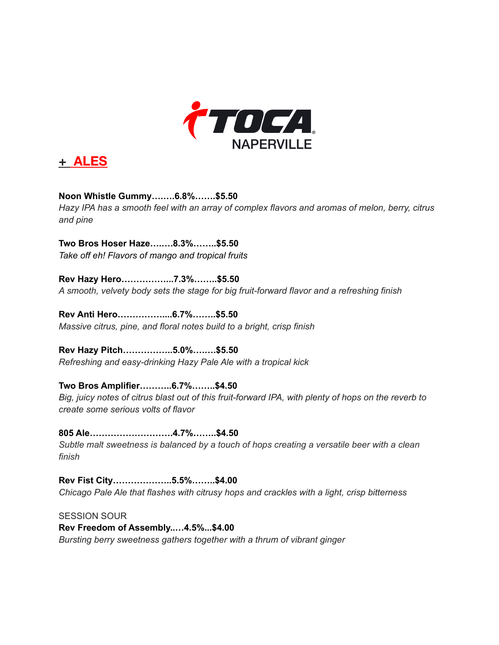



**Noon Whistle Gummy….….6.8%…….\$5.50** *Hazy IPA has a smooth feel with an array of complex flavors and aromas of melon, berry, citrus and pine*

**Two Bros Hoser Haze….….8.3%……..\$5.50** *Take off eh! Flavors of mango and tropical fruits*

**Rev Hazy Hero……………...7.3%……..\$5.50** *A smooth, velvety body sets the stage for big fruit-forward flavor and a refreshing finish*

**Rev Anti Hero……………....6.7%……..\$5.50** *Massive citrus, pine, and floral notes build to a bright, crisp finish*

**Rev Hazy Pitch……………..5.0%….….\$5.50** *Refreshing and easy-drinking Hazy Pale Ale with a tropical kick*

**Two Bros Amplifier………..6.7%……..\$4.50** Big, juicy notes of citrus blast out of this fruit-forward IPA, with plenty of hops on the reverb to *create some serious volts of flavor*

**805 Ale……………………….4.7%……..\$4.50** *Subtle malt sweetness is balanced by a touch of hops creating a versatile beer with a clean finish*

**Rev Fist City………………..5.5%……..\$4.00** *Chicago Pale Ale that flashes with citrusy hops and crackles with a light, crisp bitterness*

SESSION SOUR **Rev Freedom of Assembly..…4.5%...\$4.00** *Bursting berry sweetness gathers together with a thrum of vibrant ginger*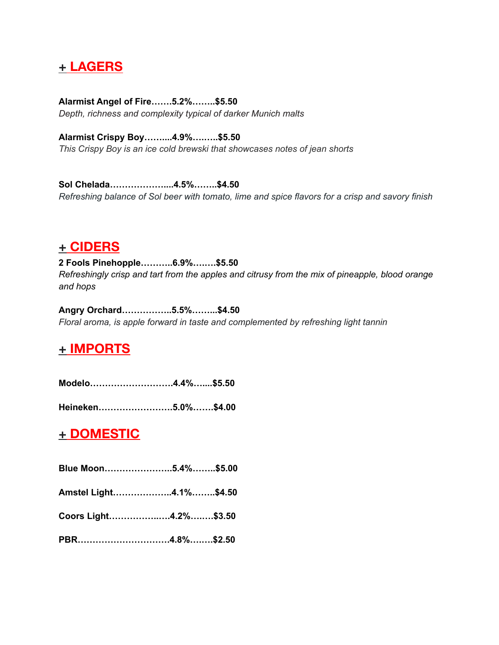### **+ LAGERS**

**Alarmist Angel of Fire…….5.2%……..\$5.50** *Depth, richness and complexity typical of darker Munich malts*

**Alarmist Crispy Boy……....4.9%….…..\$5.50** *This Crispy Boy is an ice cold brewski that showcases notes of jean shorts*

**Sol Chelada………………....4.5%……..\$4.50** *Refreshing balance of Sol beer with tomato, lime and spice flavors for a crisp and savory finish*

#### **+ CIDERS**

**2 Fools Pinehopple………..6.9%….….\$5.50** *Refreshingly crisp and tart from the apples and citrusy from the mix of pineapple, blood orange and hops*

**Angry Orchard……………..5.5%……...\$4.50** *Floral aroma, is apple forward in taste and complemented by refreshing light tannin*

# **+ IMPORTS**

**Modelo……………………….4.4%…....\$5.50**

**Heineken…………………….5.0%…….\$4.00**

#### **+ DOMESTIC**

| Blue Moon5.4%\$5.00    |  |
|------------------------|--|
| Amstel Light4.1%\$4.50 |  |
| Coors Light4.2%\$3.50  |  |
|                        |  |